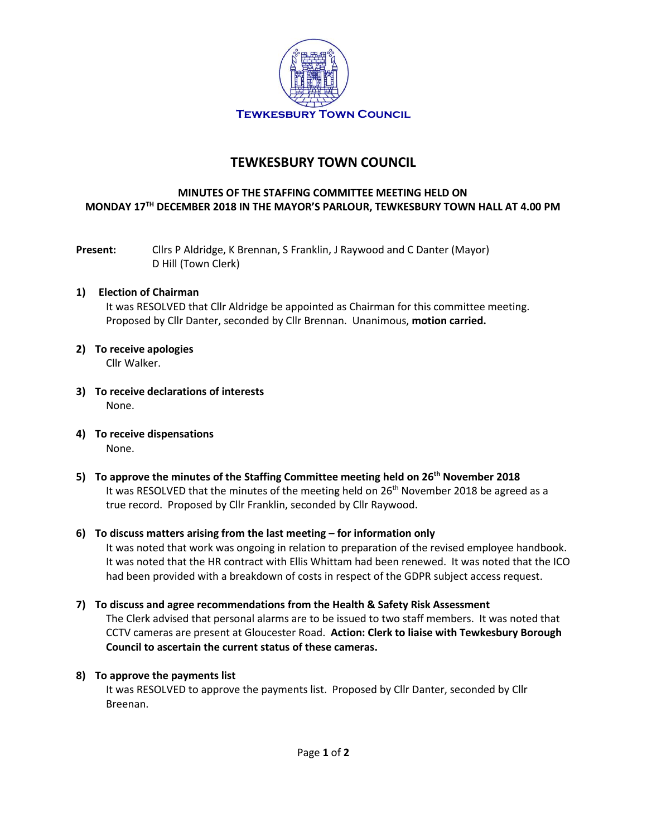

# **TEWKESBURY TOWN COUNCIL**

## **MINUTES OF THE STAFFING COMMITTEE MEETING HELD ON MONDAY 17TH DECEMBER 2018 IN THE MAYOR'S PARLOUR, TEWKESBURY TOWN HALL AT 4.00 PM**

**Present:** Cllrs P Aldridge, K Brennan, S Franklin, J Raywood and C Danter (Mayor) D Hill (Town Clerk)

## **1) Election of Chairman**

It was RESOLVED that Cllr Aldridge be appointed as Chairman for this committee meeting. Proposed by Cllr Danter, seconded by Cllr Brennan. Unanimous, **motion carried.**

- **2) To receive apologies** Cllr Walker.
- **3) To receive declarations of interests** None.
- **4) To receive dispensations** None.
- **5) To approve the minutes of the Staffing Committee meeting held on 26th November 2018** It was RESOLVED that the minutes of the meeting held on  $26<sup>th</sup>$  November 2018 be agreed as a true record. Proposed by Cllr Franklin, seconded by Cllr Raywood.

#### **6) To discuss matters arising from the last meeting – for information only**

It was noted that work was ongoing in relation to preparation of the revised employee handbook. It was noted that the HR contract with Ellis Whittam had been renewed. It was noted that the ICO had been provided with a breakdown of costs in respect of the GDPR subject access request.

**7) To discuss and agree recommendations from the Health & Safety Risk Assessment** The Clerk advised that personal alarms are to be issued to two staff members. It was noted that CCTV cameras are present at Gloucester Road. **Action: Clerk to liaise with Tewkesbury Borough Council to ascertain the current status of these cameras.**

#### **8) To approve the payments list**

It was RESOLVED to approve the payments list. Proposed by Cllr Danter, seconded by Cllr Breenan.